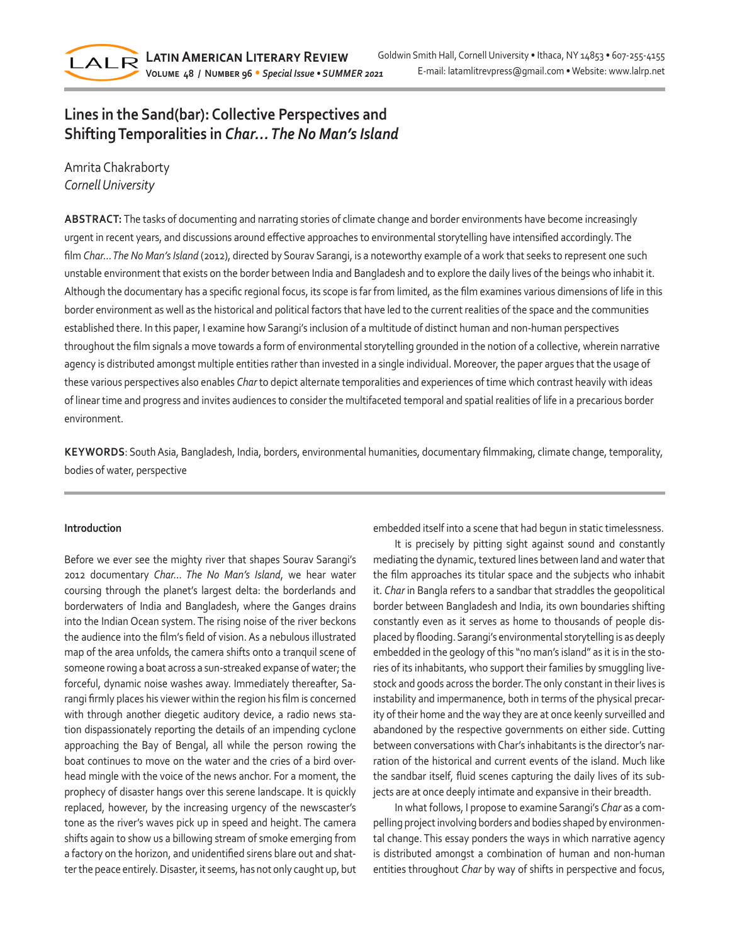

# **Lines in the Sand(bar): Collective Perspectives and Shifting Temporalities in** *Char… The No Man's Island*

Amrita Chakraborty *Cornell University*

**ABSTRACT:** The tasks of documenting and narrating stories of climate change and border environments have become increasingly urgent in recent years, and discussions around effective approaches to environmental storytelling have intensified accordingly. The film *Char… The No Man's Island* (2012), directed by Sourav Sarangi, is a noteworthy example of a work that seeks to represent one such unstable environment that exists on the border between India and Bangladesh and to explore the daily lives of the beings who inhabit it. Although the documentary has a specific regional focus, its scope is far from limited, as the film examines various dimensions of life in this border environment as well as the historical and political factors that have led to the current realities of the space and the communities established there. In this paper, I examine how Sarangi's inclusion of a multitude of distinct human and non-human perspectives throughout the film signals a move towards a form of environmental storytelling grounded in the notion of a collective, wherein narrative agency is distributed amongst multiple entities rather than invested in a single individual. Moreover, the paper argues that the usage of these various perspectives also enables *Char* to depict alternate temporalities and experiences of time which contrast heavily with ideas of linear time and progress and invites audiences to consider the multifaceted temporal and spatial realities of life in a precarious border environment.

**KEYWORDS**: South Asia, Bangladesh, India, borders, environmental humanities, documentary filmmaking, climate change, temporality, bodies of water, perspective

## **Introduction**

Before we ever see the mighty river that shapes Sourav Sarangi's 2012 documentary *Char… The No Man's Island*, we hear water coursing through the planet's largest delta: the borderlands and borderwaters of India and Bangladesh, where the Ganges drains into the Indian Ocean system. The rising noise of the river beckons the audience into the film's field of vision. As a nebulous illustrated map of the area unfolds, the camera shifts onto a tranquil scene of someone rowing a boat across a sun-streaked expanse of water; the forceful, dynamic noise washes away. Immediately thereafter, Sarangi firmly places his viewer within the region his film is concerned with through another diegetic auditory device, a radio news station dispassionately reporting the details of an impending cyclone approaching the Bay of Bengal, all while the person rowing the boat continues to move on the water and the cries of a bird overhead mingle with the voice of the news anchor. For a moment, the prophecy of disaster hangs over this serene landscape. It is quickly replaced, however, by the increasing urgency of the newscaster's tone as the river's waves pick up in speed and height. The camera shifts again to show us a billowing stream of smoke emerging from a factory on the horizon, and unidentified sirens blare out and shatter the peace entirely. Disaster, it seems, has not only caught up, but embedded itself into a scene that had begun in static timelessness.

It is precisely by pitting sight against sound and constantly mediating the dynamic, textured lines between land and water that the film approaches its titular space and the subjects who inhabit it. *Char* in Bangla refers to a sandbar that straddles the geopolitical border between Bangladesh and India, its own boundaries shifting constantly even as it serves as home to thousands of people displaced by flooding. Sarangi's environmental storytelling is as deeply embedded in the geology of this "no man's island" as it is in the stories of its inhabitants, who support their families by smuggling livestock and goods across the border. The only constant in their lives is instability and impermanence, both in terms of the physical precarity of their home and the way they are at once keenly surveilled and abandoned by the respective governments on either side. Cutting between conversations with Char's inhabitants is the director's narration of the historical and current events of the island. Much like the sandbar itself, fluid scenes capturing the daily lives of its subjects are at once deeply intimate and expansive in their breadth.

In what follows, I propose to examine Sarangi's *Char* as a compelling project involving borders and bodies shaped by environmental change. This essay ponders the ways in which narrative agency is distributed amongst a combination of human and non-human entities throughout *Char* by way of shifts in perspective and focus,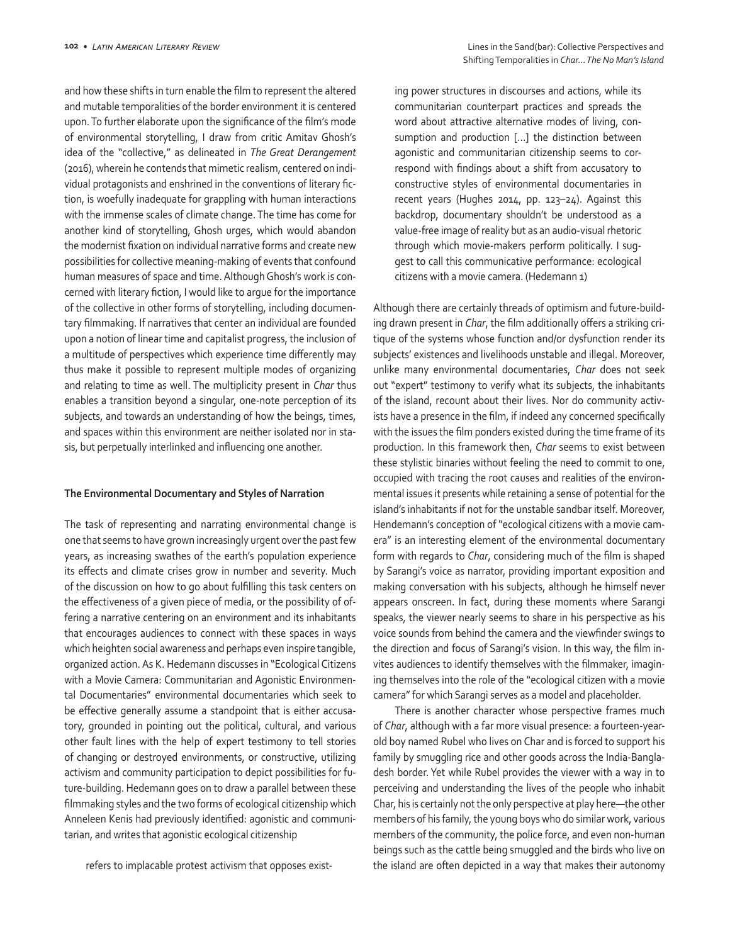and how these shifts in turn enable the film to represent the altered and mutable temporalities of the border environment it is centered upon. To further elaborate upon the significance of the film's mode of environmental storytelling, I draw from critic Amitav Ghosh's idea of the "collective," as delineated in *The Great Derangement* (2016), wherein he contends that mimetic realism, centered on individual protagonists and enshrined in the conventions of literary fiction, is woefully inadequate for grappling with human interactions with the immense scales of climate change. The time has come for another kind of storytelling, Ghosh urges, which would abandon the modernist fixation on individual narrative forms and create new possibilities for collective meaning-making of events that confound human measures of space and time. Although Ghosh's work is concerned with literary fiction, I would like to argue for the importance of the collective in other forms of storytelling, including documentary filmmaking. If narratives that center an individual are founded upon a notion of linear time and capitalist progress, the inclusion of a multitude of perspectives which experience time differently may thus make it possible to represent multiple modes of organizing and relating to time as well. The multiplicity present in *Char* thus enables a transition beyond a singular, one-note perception of its subjects, and towards an understanding of how the beings, times, and spaces within this environment are neither isolated nor in stasis, but perpetually interlinked and influencing one another.

#### **The Environmental Documentary and Styles of Narration**

The task of representing and narrating environmental change is one that seems to have grown increasingly urgent over the past few years, as increasing swathes of the earth's population experience its effects and climate crises grow in number and severity. Much of the discussion on how to go about fulfilling this task centers on the effectiveness of a given piece of media, or the possibility of offering a narrative centering on an environment and its inhabitants that encourages audiences to connect with these spaces in ways which heighten social awareness and perhaps even inspire tangible, organized action. As K. Hedemann discusses in "Ecological Citizens with a Movie Camera: Communitarian and Agonistic Environmental Documentaries" environmental documentaries which seek to be effective generally assume a standpoint that is either accusatory, grounded in pointing out the political, cultural, and various other fault lines with the help of expert testimony to tell stories of changing or destroyed environments, or constructive, utilizing activism and community participation to depict possibilities for future-building. Hedemann goes on to draw a parallel between these filmmaking styles and the two forms of ecological citizenship which Anneleen Kenis had previously identified: agonistic and communitarian, and writes that agonistic ecological citizenship

refers to implacable protest activism that opposes exist-

ing power structures in discourses and actions, while its communitarian counterpart practices and spreads the word about attractive alternative modes of living, consumption and production [...] the distinction between agonistic and communitarian citizenship seems to correspond with findings about a shift from accusatory to constructive styles of environmental documentaries in recent years (Hughes 2014, pp. 123–24). Against this backdrop, documentary shouldn't be understood as a value-free image of reality but as an audio-visual rhetoric through which movie-makers perform politically. I suggest to call this communicative performance: ecological citizens with a movie camera. (Hedemann 1)

Although there are certainly threads of optimism and future-building drawn present in *Char*, the film additionally offers a striking critique of the systems whose function and/or dysfunction render its subjects' existences and livelihoods unstable and illegal. Moreover, unlike many environmental documentaries, *Char* does not seek out "expert" testimony to verify what its subjects, the inhabitants of the island, recount about their lives. Nor do community activists have a presence in the film, if indeed any concerned specifically with the issues the film ponders existed during the time frame of its production. In this framework then, *Char* seems to exist between these stylistic binaries without feeling the need to commit to one, occupied with tracing the root causes and realities of the environmental issues it presents while retaining a sense of potential for the island's inhabitants if not for the unstable sandbar itself. Moreover, Hendemann's conception of "ecological citizens with a movie camera" is an interesting element of the environmental documentary form with regards to *Char*, considering much of the film is shaped by Sarangi's voice as narrator, providing important exposition and making conversation with his subjects, although he himself never appears onscreen. In fact, during these moments where Sarangi speaks, the viewer nearly seems to share in his perspective as his voice sounds from behind the camera and the viewfinder swings to the direction and focus of Sarangi's vision. In this way, the film invites audiences to identify themselves with the filmmaker, imagining themselves into the role of the "ecological citizen with a movie camera" for which Sarangi serves as a model and placeholder.

There is another character whose perspective frames much of *Char*, although with a far more visual presence: a fourteen-yearold boy named Rubel who lives on Char and is forced to support his family by smuggling rice and other goods across the India-Bangladesh border. Yet while Rubel provides the viewer with a way in to perceiving and understanding the lives of the people who inhabit Char, his is certainly not the only perspective at play here—the other members of his family, the young boys who do similar work, various members of the community, the police force, and even non-human beings such as the cattle being smuggled and the birds who live on the island are often depicted in a way that makes their autonomy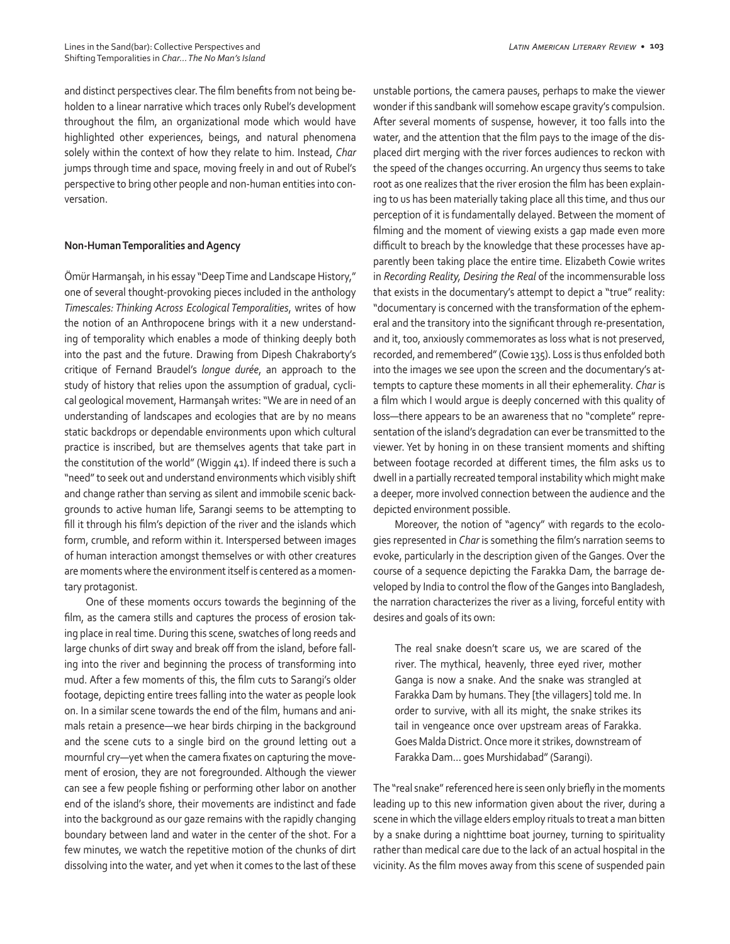and distinct perspectives clear. The film benefits from not being beholden to a linear narrative which traces only Rubel's development throughout the film, an organizational mode which would have highlighted other experiences, beings, and natural phenomena solely within the context of how they relate to him. Instead, *Char*  jumps through time and space, moving freely in and out of Rubel's perspective to bring other people and non-human entities into conversation.

# **Non-Human Temporalities and Agency**

Ömür Harmanşah, in his essay "Deep Time and Landscape History," one of several thought-provoking pieces included in the anthology *Timescales: Thinking Across Ecological Temporalities*, writes of how the notion of an Anthropocene brings with it a new understanding of temporality which enables a mode of thinking deeply both into the past and the future. Drawing from Dipesh Chakraborty's critique of Fernand Braudel's *longue durée*, an approach to the study of history that relies upon the assumption of gradual, cyclical geological movement, Harmanşah writes: "We are in need of an understanding of landscapes and ecologies that are by no means static backdrops or dependable environments upon which cultural practice is inscribed, but are themselves agents that take part in the constitution of the world" (Wiggin 41). If indeed there is such a "need" to seek out and understand environments which visibly shift and change rather than serving as silent and immobile scenic backgrounds to active human life, Sarangi seems to be attempting to fill it through his film's depiction of the river and the islands which form, crumble, and reform within it. Interspersed between images of human interaction amongst themselves or with other creatures are moments where the environment itself is centered as a momentary protagonist.

One of these moments occurs towards the beginning of the film, as the camera stills and captures the process of erosion taking place in real time. During this scene, swatches of long reeds and large chunks of dirt sway and break off from the island, before falling into the river and beginning the process of transforming into mud. After a few moments of this, the film cuts to Sarangi's older footage, depicting entire trees falling into the water as people look on. In a similar scene towards the end of the film, humans and animals retain a presence—we hear birds chirping in the background and the scene cuts to a single bird on the ground letting out a mournful cry—yet when the camera fixates on capturing the movement of erosion, they are not foregrounded. Although the viewer can see a few people fishing or performing other labor on another end of the island's shore, their movements are indistinct and fade into the background as our gaze remains with the rapidly changing boundary between land and water in the center of the shot. For a few minutes, we watch the repetitive motion of the chunks of dirt dissolving into the water, and yet when it comes to the last of these unstable portions, the camera pauses, perhaps to make the viewer wonder if this sandbank will somehow escape gravity's compulsion. After several moments of suspense, however, it too falls into the water, and the attention that the film pays to the image of the displaced dirt merging with the river forces audiences to reckon with the speed of the changes occurring. An urgency thus seems to take root as one realizes that the river erosion the film has been explaining to us has been materially taking place all this time, and thus our perception of it is fundamentally delayed. Between the moment of filming and the moment of viewing exists a gap made even more difficult to breach by the knowledge that these processes have apparently been taking place the entire time. Elizabeth Cowie writes in *Recording Reality, Desiring the Real* of the incommensurable loss that exists in the documentary's attempt to depict a "true" reality: "documentary is concerned with the transformation of the ephemeral and the transitory into the significant through re-presentation, and it, too, anxiously commemorates as loss what is not preserved, recorded, and remembered" (Cowie 135). Loss is thus enfolded both into the images we see upon the screen and the documentary's attempts to capture these moments in all their ephemerality. *Char* is a film which I would argue is deeply concerned with this quality of loss—there appears to be an awareness that no "complete" representation of the island's degradation can ever be transmitted to the viewer. Yet by honing in on these transient moments and shifting between footage recorded at different times, the film asks us to dwell in a partially recreated temporal instability which might make a deeper, more involved connection between the audience and the depicted environment possible.

Moreover, the notion of "agency" with regards to the ecologies represented in *Char* is something the film's narration seems to evoke, particularly in the description given of the Ganges. Over the course of a sequence depicting the Farakka Dam, the barrage developed by India to control the flow of the Ganges into Bangladesh, the narration characterizes the river as a living, forceful entity with desires and goals of its own:

The real snake doesn't scare us, we are scared of the river. The mythical, heavenly, three eyed river, mother Ganga is now a snake. And the snake was strangled at Farakka Dam by humans. They [the villagers] told me. In order to survive, with all its might, the snake strikes its tail in vengeance once over upstream areas of Farakka. Goes Malda District. Once more it strikes, downstream of Farakka Dam… goes Murshidabad" (Sarangi).

The "real snake" referenced here is seen only briefly in the moments leading up to this new information given about the river, during a scene in which the village elders employ rituals to treat a man bitten by a snake during a nighttime boat journey, turning to spirituality rather than medical care due to the lack of an actual hospital in the vicinity. As the film moves away from this scene of suspended pain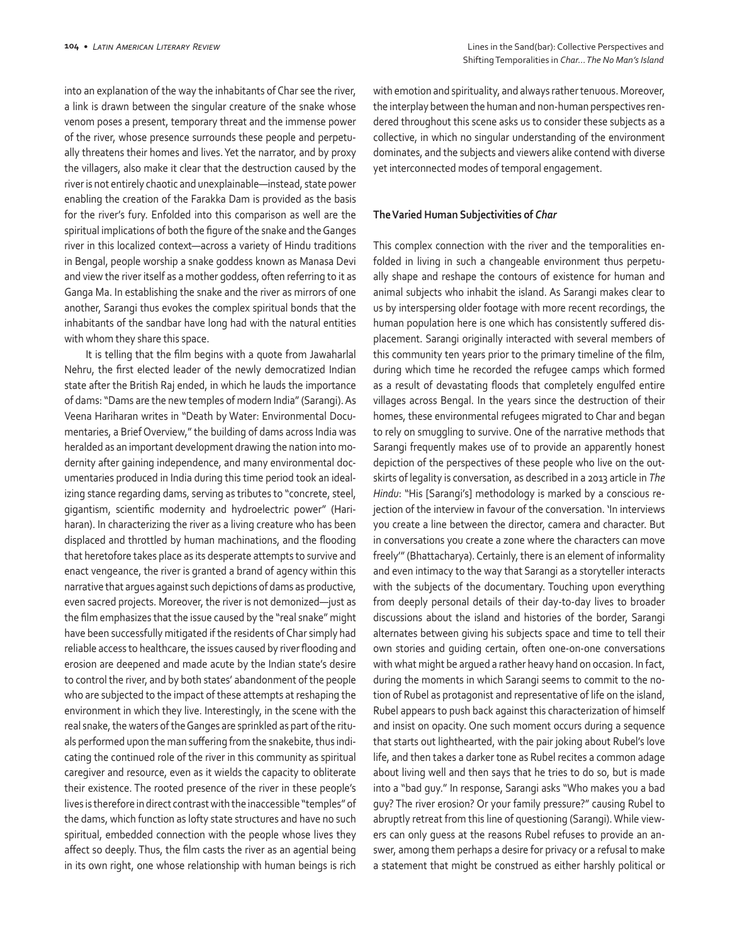into an explanation of the way the inhabitants of Char see the river, a link is drawn between the singular creature of the snake whose venom poses a present, temporary threat and the immense power of the river, whose presence surrounds these people and perpetually threatens their homes and lives. Yet the narrator, and by proxy the villagers, also make it clear that the destruction caused by the river is not entirely chaotic and unexplainable—instead, state power enabling the creation of the Farakka Dam is provided as the basis for the river's fury. Enfolded into this comparison as well are the spiritual implications of both the figure of the snake and the Ganges river in this localized context—across a variety of Hindu traditions in Bengal, people worship a snake goddess known as Manasa Devi and view the river itself as a mother goddess, often referring to it as Ganga Ma. In establishing the snake and the river as mirrors of one another, Sarangi thus evokes the complex spiritual bonds that the inhabitants of the sandbar have long had with the natural entities with whom they share this space.

It is telling that the film begins with a quote from Jawaharlal Nehru, the first elected leader of the newly democratized Indian state after the British Raj ended, in which he lauds the importance of dams: "Dams are the new temples of modern India" (Sarangi). As Veena Hariharan writes in "Death by Water: Environmental Documentaries, a Brief Overview," the building of dams across India was heralded as an important development drawing the nation into modernity after gaining independence, and many environmental documentaries produced in India during this time period took an idealizing stance regarding dams, serving as tributes to "concrete, steel, gigantism, scientific modernity and hydroelectric power" (Hariharan). In characterizing the river as a living creature who has been displaced and throttled by human machinations, and the flooding that heretofore takes place as its desperate attempts to survive and enact vengeance, the river is granted a brand of agency within this narrative that argues against such depictions of dams as productive, even sacred projects. Moreover, the river is not demonized—just as the film emphasizes that the issue caused by the "real snake" might have been successfully mitigated if the residents of Char simply had reliable access to healthcare, the issues caused by river flooding and erosion are deepened and made acute by the Indian state's desire to control the river, and by both states' abandonment of the people who are subjected to the impact of these attempts at reshaping the environment in which they live. Interestingly, in the scene with the real snake, the waters of the Ganges are sprinkled as part of the rituals performed upon the man suffering from the snakebite, thus indicating the continued role of the river in this community as spiritual caregiver and resource, even as it wields the capacity to obliterate their existence. The rooted presence of the river in these people's lives is therefore in direct contrast with the inaccessible "temples" of the dams, which function as lofty state structures and have no such spiritual, embedded connection with the people whose lives they affect so deeply. Thus, the film casts the river as an agential being in its own right, one whose relationship with human beings is rich

with emotion and spirituality, and always rather tenuous. Moreover, the interplay between the human and non-human perspectives rendered throughout this scene asks us to consider these subjects as a collective, in which no singular understanding of the environment dominates, and the subjects and viewers alike contend with diverse yet interconnected modes of temporal engagement.

#### **The Varied Human Subjectivities of** *Char*

This complex connection with the river and the temporalities enfolded in living in such a changeable environment thus perpetually shape and reshape the contours of existence for human and animal subjects who inhabit the island. As Sarangi makes clear to us by interspersing older footage with more recent recordings, the human population here is one which has consistently suffered displacement. Sarangi originally interacted with several members of this community ten years prior to the primary timeline of the film, during which time he recorded the refugee camps which formed as a result of devastating floods that completely engulfed entire villages across Bengal. In the years since the destruction of their homes, these environmental refugees migrated to Char and began to rely on smuggling to survive. One of the narrative methods that Sarangi frequently makes use of to provide an apparently honest depiction of the perspectives of these people who live on the outskirts of legality is conversation, as described in a 2013 article in *The Hindu*: "His [Sarangi's] methodology is marked by a conscious rejection of the interview in favour of the conversation. 'In interviews you create a line between the director, camera and character. But in conversations you create a zone where the characters can move freely'" (Bhattacharya). Certainly, there is an element of informality and even intimacy to the way that Sarangi as a storyteller interacts with the subjects of the documentary. Touching upon everything from deeply personal details of their day-to-day lives to broader discussions about the island and histories of the border, Sarangi alternates between giving his subjects space and time to tell their own stories and guiding certain, often one-on-one conversations with what might be argued a rather heavy hand on occasion. In fact, during the moments in which Sarangi seems to commit to the notion of Rubel as protagonist and representative of life on the island, Rubel appears to push back against this characterization of himself and insist on opacity. One such moment occurs during a sequence that starts out lighthearted, with the pair joking about Rubel's love life, and then takes a darker tone as Rubel recites a common adage about living well and then says that he tries to do so, but is made into a "bad guy." In response, Sarangi asks "Who makes you a bad guy? The river erosion? Or your family pressure?" causing Rubel to abruptly retreat from this line of questioning (Sarangi). While viewers can only guess at the reasons Rubel refuses to provide an answer, among them perhaps a desire for privacy or a refusal to make a statement that might be construed as either harshly political or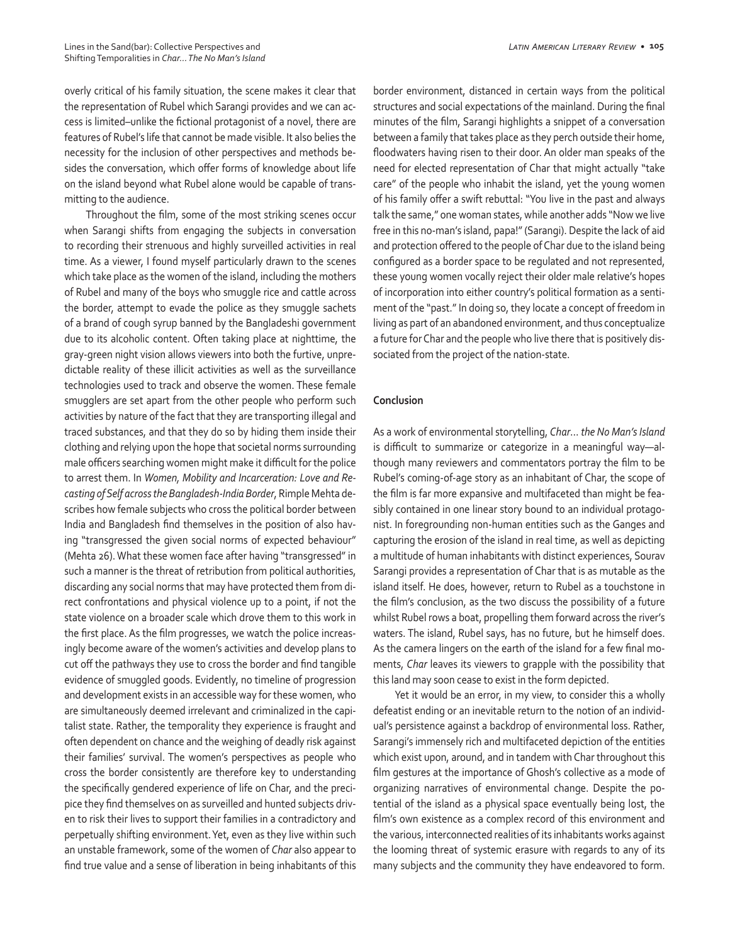overly critical of his family situation, the scene makes it clear that the representation of Rubel which Sarangi provides and we can access is limited–unlike the fictional protagonist of a novel, there are features of Rubel's life that cannot be made visible. It also belies the necessity for the inclusion of other perspectives and methods besides the conversation, which offer forms of knowledge about life on the island beyond what Rubel alone would be capable of transmitting to the audience.

Throughout the film, some of the most striking scenes occur when Sarangi shifts from engaging the subjects in conversation to recording their strenuous and highly surveilled activities in real time. As a viewer, I found myself particularly drawn to the scenes which take place as the women of the island, including the mothers of Rubel and many of the boys who smuggle rice and cattle across the border, attempt to evade the police as they smuggle sachets of a brand of cough syrup banned by the Bangladeshi government due to its alcoholic content. Often taking place at nighttime, the gray-green night vision allows viewers into both the furtive, unpredictable reality of these illicit activities as well as the surveillance technologies used to track and observe the women. These female smugglers are set apart from the other people who perform such activities by nature of the fact that they are transporting illegal and traced substances, and that they do so by hiding them inside their clothing and relying upon the hope that societal norms surrounding male officers searching women might make it difficult for the police to arrest them. In *Women, Mobility and Incarceration: Love and Recasting of Self across the Bangladesh-India Border*, Rimple Mehta describes how female subjects who cross the political border between India and Bangladesh find themselves in the position of also having "transgressed the given social norms of expected behaviour" (Mehta 26). What these women face after having "transgressed" in such a manner is the threat of retribution from political authorities, discarding any social norms that may have protected them from direct confrontations and physical violence up to a point, if not the state violence on a broader scale which drove them to this work in the first place. As the film progresses, we watch the police increasingly become aware of the women's activities and develop plans to cut off the pathways they use to cross the border and find tangible evidence of smuggled goods. Evidently, no timeline of progression and development exists in an accessible way for these women, who are simultaneously deemed irrelevant and criminalized in the capitalist state. Rather, the temporality they experience is fraught and often dependent on chance and the weighing of deadly risk against their families' survival. The women's perspectives as people who cross the border consistently are therefore key to understanding the specifically gendered experience of life on Char, and the precipice they find themselves on as surveilled and hunted subjects driven to risk their lives to support their families in a contradictory and perpetually shifting environment. Yet, even as they live within such an unstable framework, some of the women of *Char* also appear to find true value and a sense of liberation in being inhabitants of this border environment, distanced in certain ways from the political structures and social expectations of the mainland. During the final minutes of the film, Sarangi highlights a snippet of a conversation between a family that takes place as they perch outside their home, floodwaters having risen to their door. An older man speaks of the need for elected representation of Char that might actually "take care" of the people who inhabit the island, yet the young women of his family offer a swift rebuttal: "You live in the past and always talk the same," one woman states, while another adds "Now we live free in this no-man's island, papa!" (Sarangi). Despite the lack of aid and protection offered to the people of Char due to the island being configured as a border space to be regulated and not represented, these young women vocally reject their older male relative's hopes of incorporation into either country's political formation as a sentiment of the "past." In doing so, they locate a concept of freedom in living as part of an abandoned environment, and thus conceptualize a future for Char and the people who live there that is positively dissociated from the project of the nation-state.

# **Conclusion**

As a work of environmental storytelling, *Char*… *the No Man's Island* is difficult to summarize or categorize in a meaningful way—although many reviewers and commentators portray the film to be Rubel's coming-of-age story as an inhabitant of Char, the scope of the film is far more expansive and multifaceted than might be feasibly contained in one linear story bound to an individual protagonist. In foregrounding non-human entities such as the Ganges and capturing the erosion of the island in real time, as well as depicting a multitude of human inhabitants with distinct experiences, Sourav Sarangi provides a representation of Char that is as mutable as the island itself. He does, however, return to Rubel as a touchstone in the film's conclusion, as the two discuss the possibility of a future whilst Rubel rows a boat, propelling them forward across the river's waters. The island, Rubel says, has no future, but he himself does. As the camera lingers on the earth of the island for a few final moments, *Char* leaves its viewers to grapple with the possibility that this land may soon cease to exist in the form depicted.

Yet it would be an error, in my view, to consider this a wholly defeatist ending or an inevitable return to the notion of an individual's persistence against a backdrop of environmental loss. Rather, Sarangi's immensely rich and multifaceted depiction of the entities which exist upon, around, and in tandem with Char throughout this film gestures at the importance of Ghosh's collective as a mode of organizing narratives of environmental change. Despite the potential of the island as a physical space eventually being lost, the film's own existence as a complex record of this environment and the various, interconnected realities of its inhabitants works against the looming threat of systemic erasure with regards to any of its many subjects and the community they have endeavored to form.